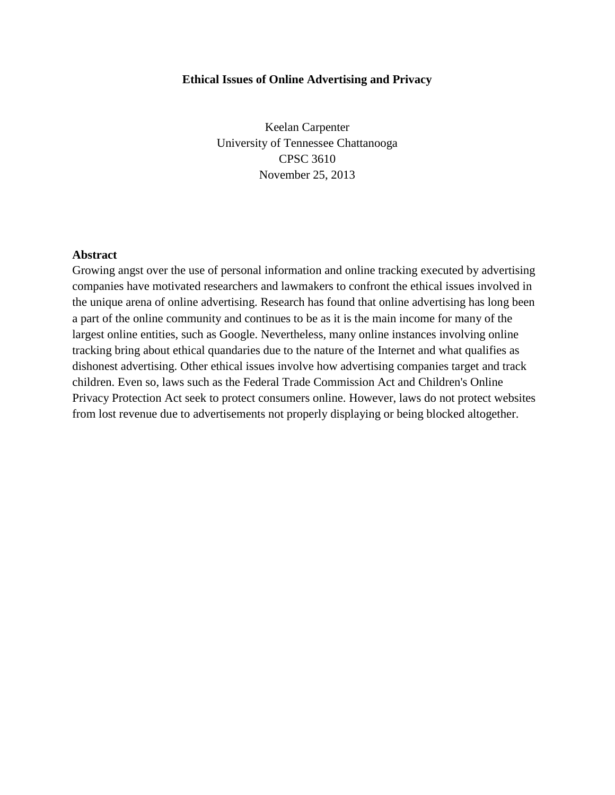## **Ethical Issues of Online Advertising and Privacy**

Keelan Carpenter University of Tennessee Chattanooga CPSC 3610 November 25, 2013

## **Abstract**

Growing angst over the use of personal information and online tracking executed by advertising companies have motivated researchers and lawmakers to confront the ethical issues involved in the unique arena of online advertising. Research has found that online advertising has long been a part of the online community and continues to be as it is the main income for many of the largest online entities, such as Google. Nevertheless, many online instances involving online tracking bring about ethical quandaries due to the nature of the Internet and what qualifies as dishonest advertising. Other ethical issues involve how advertising companies target and track children. Even so, laws such as the Federal Trade Commission Act and Children's Online Privacy Protection Act seek to protect consumers online. However, laws do not protect websites from lost revenue due to advertisements not properly displaying or being blocked altogether.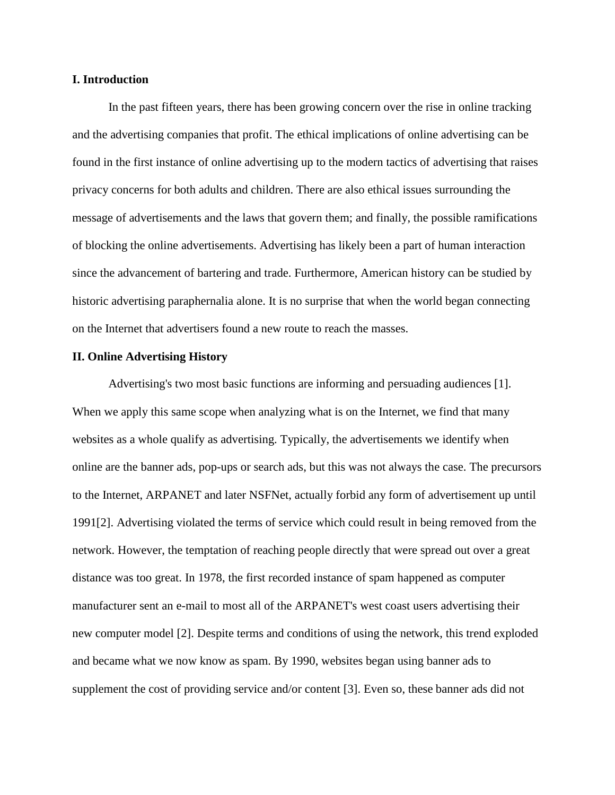## **I. Introduction**

In the past fifteen years, there has been growing concern over the rise in online tracking and the advertising companies that profit. The ethical implications of online advertising can be found in the first instance of online advertising up to the modern tactics of advertising that raises privacy concerns for both adults and children. There are also ethical issues surrounding the message of advertisements and the laws that govern them; and finally, the possible ramifications of blocking the online advertisements. Advertising has likely been a part of human interaction since the advancement of bartering and trade. Furthermore, American history can be studied by historic advertising paraphernalia alone. It is no surprise that when the world began connecting on the Internet that advertisers found a new route to reach the masses.

#### **II. Online Advertising History**

Advertising's two most basic functions are informing and persuading audiences [1]. When we apply this same scope when analyzing what is on the Internet, we find that many websites as a whole qualify as advertising. Typically, the advertisements we identify when online are the banner ads, pop-ups or search ads, but this was not always the case. The precursors to the Internet, ARPANET and later NSFNet, actually forbid any form of advertisement up until 1991[2]. Advertising violated the terms of service which could result in being removed from the network. However, the temptation of reaching people directly that were spread out over a great distance was too great. In 1978, the first recorded instance of spam happened as computer manufacturer sent an e-mail to most all of the ARPANET's west coast users advertising their new computer model [2]. Despite terms and conditions of using the network, this trend exploded and became what we now know as spam. By 1990, websites began using banner ads to supplement the cost of providing service and/or content [3]. Even so, these banner ads did not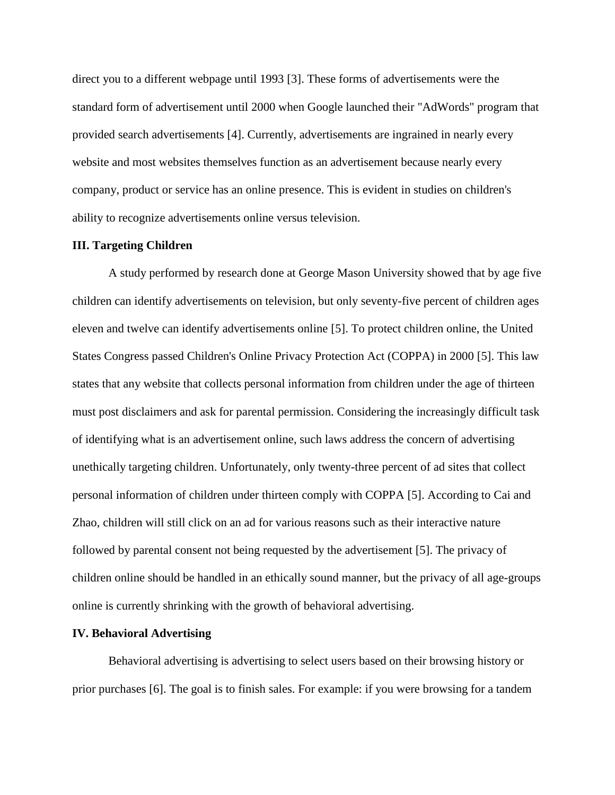direct you to a different webpage until 1993 [3]. These forms of advertisements were the standard form of advertisement until 2000 when Google launched their "AdWords" program that provided search advertisements [4]. Currently, advertisements are ingrained in nearly every website and most websites themselves function as an advertisement because nearly every company, product or service has an online presence. This is evident in studies on children's ability to recognize advertisements online versus television.

#### **III. Targeting Children**

A study performed by research done at George Mason University showed that by age five children can identify advertisements on television, but only seventy-five percent of children ages eleven and twelve can identify advertisements online [5]. To protect children online, the United States Congress passed Children's Online Privacy Protection Act (COPPA) in 2000 [5]. This law states that any website that collects personal information from children under the age of thirteen must post disclaimers and ask for parental permission. Considering the increasingly difficult task of identifying what is an advertisement online, such laws address the concern of advertising unethically targeting children. Unfortunately, only twenty-three percent of ad sites that collect personal information of children under thirteen comply with COPPA [5]. According to Cai and Zhao, children will still click on an ad for various reasons such as their interactive nature followed by parental consent not being requested by the advertisement [5]. The privacy of children online should be handled in an ethically sound manner, but the privacy of all age-groups online is currently shrinking with the growth of behavioral advertising.

#### **IV. Behavioral Advertising**

Behavioral advertising is advertising to select users based on their browsing history or prior purchases [6]. The goal is to finish sales. For example: if you were browsing for a tandem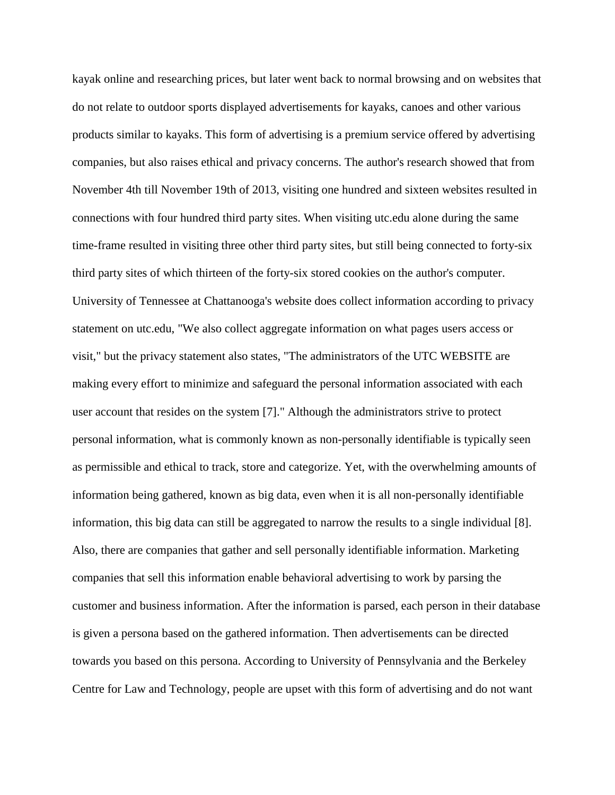kayak online and researching prices, but later went back to normal browsing and on websites that do not relate to outdoor sports displayed advertisements for kayaks, canoes and other various products similar to kayaks. This form of advertising is a premium service offered by advertising companies, but also raises ethical and privacy concerns. The author's research showed that from November 4th till November 19th of 2013, visiting one hundred and sixteen websites resulted in connections with four hundred third party sites. When visiting utc.edu alone during the same time-frame resulted in visiting three other third party sites, but still being connected to forty-six third party sites of which thirteen of the forty-six stored cookies on the author's computer. University of Tennessee at Chattanooga's website does collect information according to privacy statement on utc.edu, "We also collect aggregate information on what pages users access or visit," but the privacy statement also states, "The administrators of the UTC WEBSITE are making every effort to minimize and safeguard the personal information associated with each user account that resides on the system [7]." Although the administrators strive to protect personal information, what is commonly known as non-personally identifiable is typically seen as permissible and ethical to track, store and categorize. Yet, with the overwhelming amounts of information being gathered, known as big data, even when it is all non-personally identifiable information, this big data can still be aggregated to narrow the results to a single individual [8]. Also, there are companies that gather and sell personally identifiable information. Marketing companies that sell this information enable behavioral advertising to work by parsing the customer and business information. After the information is parsed, each person in their database is given a persona based on the gathered information. Then advertisements can be directed towards you based on this persona. According to University of Pennsylvania and the Berkeley Centre for Law and Technology, people are upset with this form of advertising and do not want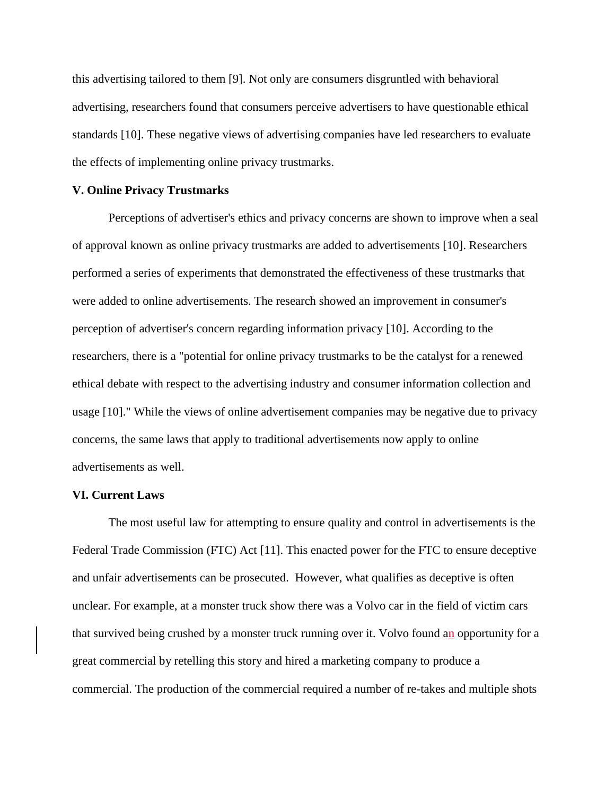this advertising tailored to them [9]. Not only are consumers disgruntled with behavioral advertising, researchers found that consumers perceive advertisers to have questionable ethical standards [10]. These negative views of advertising companies have led researchers to evaluate the effects of implementing online privacy trustmarks.

## **V. Online Privacy Trustmarks**

Perceptions of advertiser's ethics and privacy concerns are shown to improve when a seal of approval known as online privacy trustmarks are added to advertisements [10]. Researchers performed a series of experiments that demonstrated the effectiveness of these trustmarks that were added to online advertisements. The research showed an improvement in consumer's perception of advertiser's concern regarding information privacy [10]. According to the researchers, there is a "potential for online privacy trustmarks to be the catalyst for a renewed ethical debate with respect to the advertising industry and consumer information collection and usage [10]." While the views of online advertisement companies may be negative due to privacy concerns, the same laws that apply to traditional advertisements now apply to online advertisements as well.

## **VI. Current Laws**

The most useful law for attempting to ensure quality and control in advertisements is the Federal Trade Commission (FTC) Act [11]. This enacted power for the FTC to ensure deceptive and unfair advertisements can be prosecuted. However, what qualifies as deceptive is often unclear. For example, at a monster truck show there was a Volvo car in the field of victim cars that survived being crushed by a monster truck running over it. Volvo found an opportunity for a great commercial by retelling this story and hired a marketing company to produce a commercial. The production of the commercial required a number of re-takes and multiple shots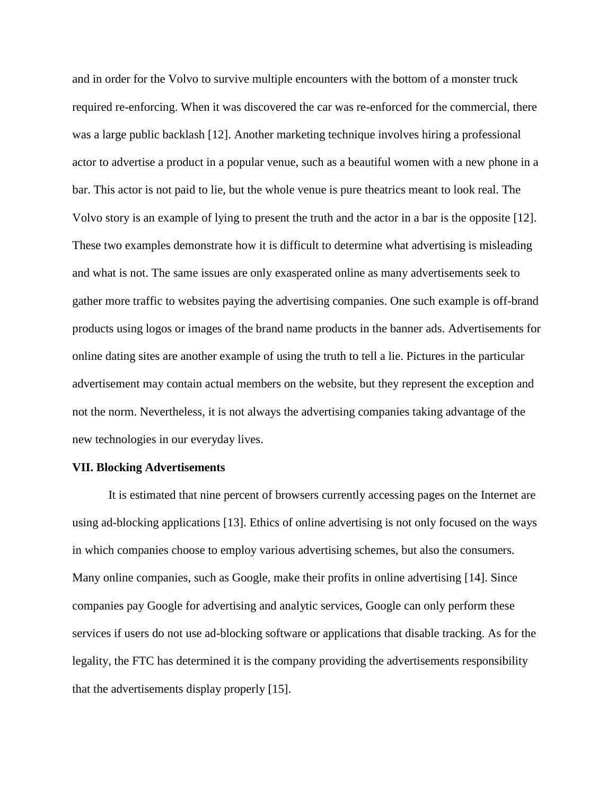and in order for the Volvo to survive multiple encounters with the bottom of a monster truck required re-enforcing. When it was discovered the car was re-enforced for the commercial, there was a large public backlash [12]. Another marketing technique involves hiring a professional actor to advertise a product in a popular venue, such as a beautiful women with a new phone in a bar. This actor is not paid to lie, but the whole venue is pure theatrics meant to look real. The Volvo story is an example of lying to present the truth and the actor in a bar is the opposite [12]. These two examples demonstrate how it is difficult to determine what advertising is misleading and what is not. The same issues are only exasperated online as many advertisements seek to gather more traffic to websites paying the advertising companies. One such example is off-brand products using logos or images of the brand name products in the banner ads. Advertisements for online dating sites are another example of using the truth to tell a lie. Pictures in the particular advertisement may contain actual members on the website, but they represent the exception and not the norm. Nevertheless, it is not always the advertising companies taking advantage of the new technologies in our everyday lives.

# **VII. Blocking Advertisements**

It is estimated that nine percent of browsers currently accessing pages on the Internet are using ad-blocking applications [13]. Ethics of online advertising is not only focused on the ways in which companies choose to employ various advertising schemes, but also the consumers. Many online companies, such as Google, make their profits in online advertising [14]. Since companies pay Google for advertising and analytic services, Google can only perform these services if users do not use ad-blocking software or applications that disable tracking. As for the legality, the FTC has determined it is the company providing the advertisements responsibility that the advertisements display properly [15].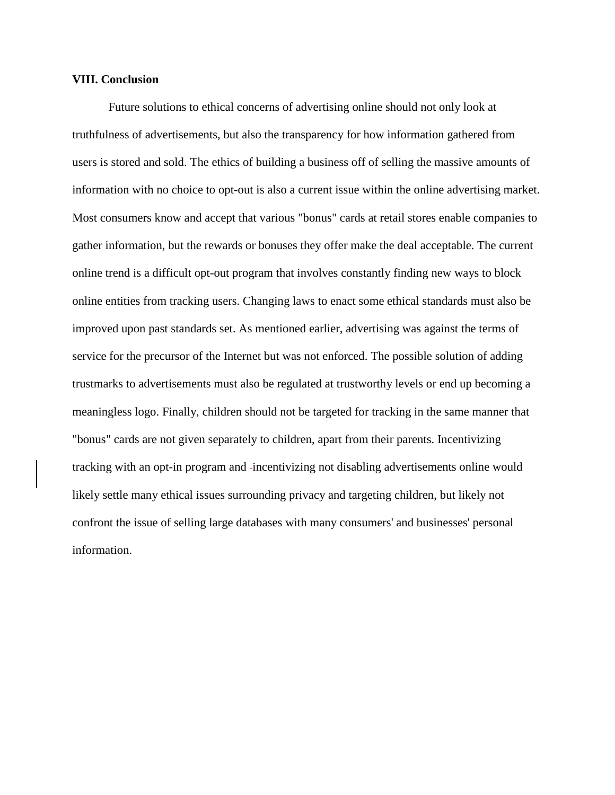### **VIII. Conclusion**

Future solutions to ethical concerns of advertising online should not only look at truthfulness of advertisements, but also the transparency for how information gathered from users is stored and sold. The ethics of building a business off of selling the massive amounts of information with no choice to opt-out is also a current issue within the online advertising market. Most consumers know and accept that various "bonus" cards at retail stores enable companies to gather information, but the rewards or bonuses they offer make the deal acceptable. The current online trend is a difficult opt-out program that involves constantly finding new ways to block online entities from tracking users. Changing laws to enact some ethical standards must also be improved upon past standards set. As mentioned earlier, advertising was against the terms of service for the precursor of the Internet but was not enforced. The possible solution of adding trustmarks to advertisements must also be regulated at trustworthy levels or end up becoming a meaningless logo. Finally, children should not be targeted for tracking in the same manner that "bonus" cards are not given separately to children, apart from their parents. Incentivizing tracking with an opt-in program and incentivizing not disabling advertisements online would likely settle many ethical issues surrounding privacy and targeting children, but likely not confront the issue of selling large databases with many consumers' and businesses' personal information.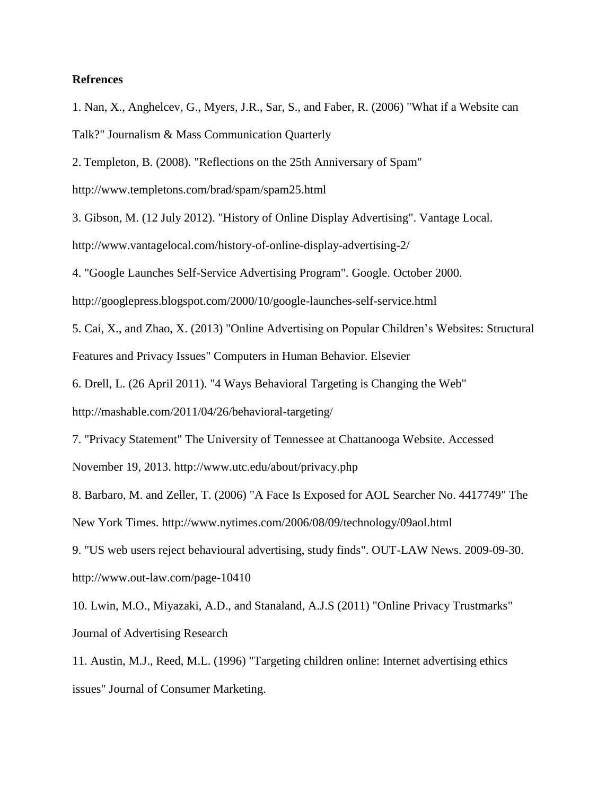# **Refrences**

1. Nan, X., Anghelcev, G., Myers, J.R., Sar, S., and Faber, R. (2006) "What if a Website can Talk?" Journalism & Mass Communication Quarterly

2. Templeton, B. (2008). "Reflections on the 25th Anniversary of Spam"

http://www.templetons.com/brad/spam/spam25.html

3. Gibson, M. (12 July 2012). "History of Online Display Advertising". Vantage Local.

http://www.vantagelocal.com/history-of-online-display-advertising-2/

4. "Google Launches Self-Service Advertising Program". Google. October 2000.

http://googlepress.blogspot.com/2000/10/google-launches-self-service.html

5. Cai, X., and Zhao, X. (2013) "Online Advertising on Popular Children's Websites: Structural Features and Privacy Issues" Computers in Human Behavior. Elsevier

6. Drell, L. (26 April 2011). "4 Ways Behavioral Targeting is Changing the Web"

http://mashable.com/2011/04/26/behavioral-targeting/

7. "Privacy Statement" The University of Tennessee at Chattanooga Website. Accessed

November 19, 2013. http://www.utc.edu/about/privacy.php

8. Barbaro, M. and Zeller, T. (2006) "A Face Is Exposed for AOL Searcher No. 4417749" The New York Times. http://www.nytimes.com/2006/08/09/technology/09aol.html

9. "US web users reject behavioural advertising, study finds". OUT-LAW News. 2009-09-30. http://www.out-law.com/page-10410

10. Lwin, M.O., Miyazaki, A.D., and Stanaland, A.J.S (2011) "Online Privacy Trustmarks" Journal of Advertising Research

11. Austin, M.J., Reed, M.L. (1996) "Targeting children online: Internet advertising ethics issues" Journal of Consumer Marketing.